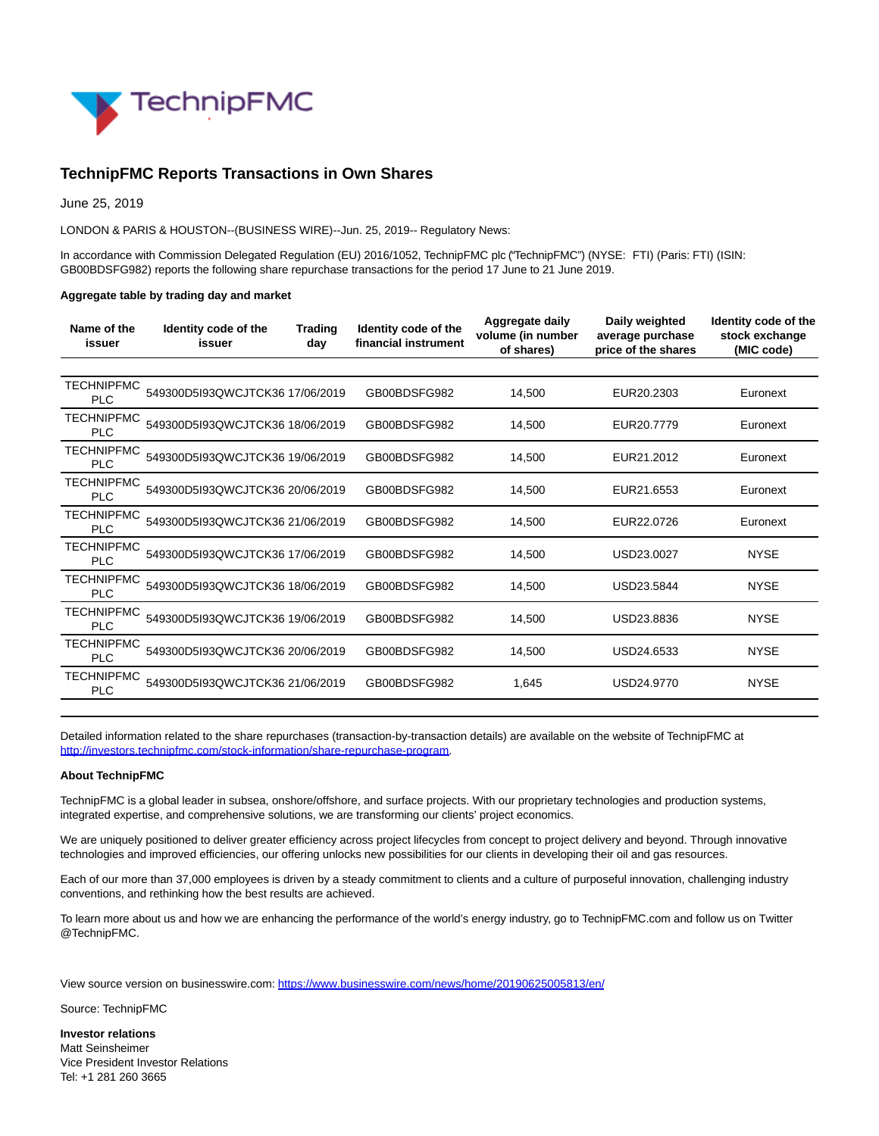

# **TechnipFMC Reports Transactions in Own Shares**

June 25, 2019

LONDON & PARIS & HOUSTON--(BUSINESS WIRE)--Jun. 25, 2019-- Regulatory News:

In accordance with Commission Delegated Regulation (EU) 2016/1052, TechnipFMC plc ("TechnipFMC") (NYSE: FTI) (Paris: FTI) (ISIN: GB00BDSFG982) reports the following share repurchase transactions for the period 17 June to 21 June 2019.

#### **Aggregate table by trading day and market**

| Name of the<br>issuer           | Identity code of the<br>issuer  | <b>Trading</b><br>day | Identity code of the<br>financial instrument | Aggregate daily<br>volume (in number<br>of shares) | Daily weighted<br>average purchase<br>price of the shares | Identity code of the<br>stock exchange<br>(MIC code) |
|---------------------------------|---------------------------------|-----------------------|----------------------------------------------|----------------------------------------------------|-----------------------------------------------------------|------------------------------------------------------|
|                                 |                                 |                       |                                              |                                                    |                                                           |                                                      |
| TECHNIPFMC<br><b>PLC</b>        | 549300D5I93QWCJTCK36 17/06/2019 |                       | GB00BDSFG982                                 | 14,500                                             | EUR20.2303                                                | Euronext                                             |
| <b>TECHNIPFMC</b><br><b>PLC</b> | 549300D5I93QWCJTCK36 18/06/2019 |                       | GB00BDSFG982                                 | 14,500                                             | EUR20.7779                                                | Euronext                                             |
| <b>TECHNIPFMC</b><br><b>PLC</b> | 549300D5I93QWCJTCK36 19/06/2019 |                       | GB00BDSFG982                                 | 14.500                                             | EUR21.2012                                                | Euronext                                             |
| <b>TECHNIPFMC</b><br><b>PLC</b> | 549300D5I93QWCJTCK36 20/06/2019 |                       | GB00BDSFG982                                 | 14.500                                             | EUR21.6553                                                | Euronext                                             |
| <b>TECHNIPFMC</b><br><b>PLC</b> | 549300D5I93QWCJTCK36 21/06/2019 |                       | GB00BDSFG982                                 | 14,500                                             | EUR22.0726                                                | Euronext                                             |
| <b>TECHNIPFMC</b><br><b>PLC</b> | 549300D5I93QWCJTCK36 17/06/2019 |                       | GB00BDSFG982                                 | 14,500                                             | USD23.0027                                                | <b>NYSE</b>                                          |
| TECHNIPFMC<br><b>PLC</b>        | 549300D5I93QWCJTCK36 18/06/2019 |                       | GB00BDSFG982                                 | 14.500                                             | USD23.5844                                                | <b>NYSE</b>                                          |
| <b>TECHNIPFMC</b><br><b>PLC</b> | 549300D5I93QWCJTCK36 19/06/2019 |                       | GB00BDSFG982                                 | 14.500                                             | USD23.8836                                                | <b>NYSE</b>                                          |
| <b>TECHNIPFMC</b><br><b>PLC</b> | 549300D5I93QWCJTCK36 20/06/2019 |                       | GB00BDSFG982                                 | 14,500                                             | USD24.6533                                                | <b>NYSE</b>                                          |
| <b>TECHNIPFMC</b><br><b>PLC</b> | 549300D5193QWCJTCK36 21/06/2019 |                       | GB00BDSFG982                                 | 1.645                                              | USD24.9770                                                | <b>NYSE</b>                                          |
|                                 |                                 |                       |                                              |                                                    |                                                           |                                                      |

Detailed information related to the share repurchases (transaction-by-transaction details) are available on the website of TechnipFMC at [http://investors.technipfmc.com/stock-information/share-repurchase-program.](https://cts.businesswire.com/ct/CT?id=smartlink&url=http%3A%2F%2Finvestors.technipfmc.com%2Fstock-information%2Fshare-repurchase-program&esheet=52004756&newsitemid=20190625005813&lan=en-US&anchor=http%3A%2F%2Finvestors.technipfmc.com%2Fstock-information%2Fshare-repurchase-program&index=1&md5=a97e68285f6d03be339f497605911c94)

#### **About TechnipFMC**

TechnipFMC is a global leader in subsea, onshore/offshore, and surface projects. With our proprietary technologies and production systems, integrated expertise, and comprehensive solutions, we are transforming our clients' project economics.

We are uniquely positioned to deliver greater efficiency across project lifecycles from concept to project delivery and beyond. Through innovative technologies and improved efficiencies, our offering unlocks new possibilities for our clients in developing their oil and gas resources.

Each of our more than 37,000 employees is driven by a steady commitment to clients and a culture of purposeful innovation, challenging industry conventions, and rethinking how the best results are achieved.

To learn more about us and how we are enhancing the performance of the world's energy industry, go to TechnipFMC.com and follow us on Twitter @TechnipFMC.

View source version on businesswire.com:<https://www.businesswire.com/news/home/20190625005813/en/>

Source: TechnipFMC

**Investor relations** Matt Seinsheimer Vice President Investor Relations Tel: +1 281 260 3665